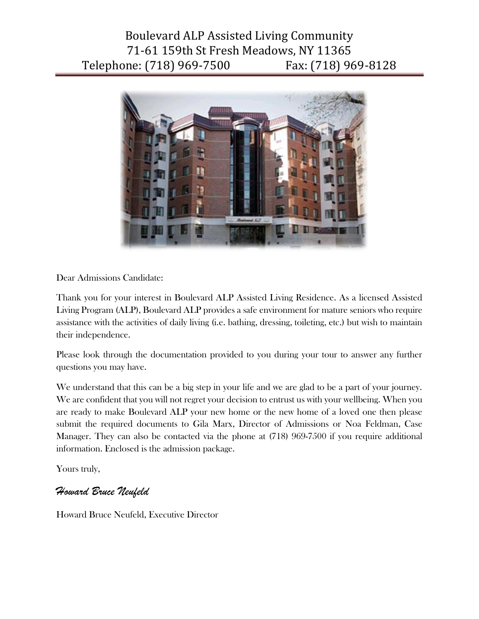# Boulevard ALP Assisted Living Community 71-61 159th St Fresh Meadows, NY 11365 Telephone: (718) 969-7500 Fax: (718) 969-8128



Dear Admissions Candidate:

Thank you for your interest in Boulevard ALP Assisted Living Residence. As a licensed Assisted Living Program (ALP), Boulevard ALP provides a safe environment for mature seniors who require assistance with the activities of daily living (i.e. bathing, dressing, toileting, etc.) but wish to maintain their independence.

Please look through the documentation provided to you during your tour to answer any further questions you may have.

We understand that this can be a big step in your life and we are glad to be a part of your journey. We are confident that you will not regret your decision to entrust us with your wellbeing. When you are ready to make Boulevard ALP your new home or the new home of a loved one then please submit the required documents to Gila Marx, Director of Admissions or Noa Feldman, Case Manager. They can also be contacted via the phone at (718) 969-7500 if you require additional information. Enclosed is the admission package.

Yours truly,

### *Howard Bruce Neufeld*

Howard Bruce Neufeld, Executive Director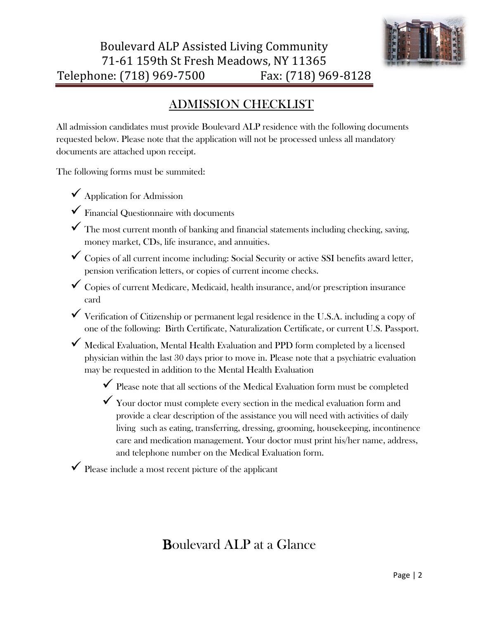

### ADMISSION CHECKLIST

All admission candidates must provide Boulevard ALP residence with the following documents requested below. Please note that the application will not be processed unless all mandatory documents are attached upon receipt.

The following forms must be summited:

- $\checkmark$  Application for Admission
- $\checkmark$  Financial Questionnaire with documents
- $\checkmark$  The most current month of banking and financial statements including checking, saving, money market, CDs, life insurance, and annuities.
- $\checkmark$  Copies of all current income including: Social Security or active SSI benefits award letter, pension verification letters, or copies of current income checks.
- $\checkmark$  Copies of current Medicare, Medicaid, health insurance, and/or prescription insurance card
- $\checkmark$  Verification of Citizenship or permanent legal residence in the U.S.A. including a copy of one of the following: Birth Certificate, Naturalization Certificate, or current U.S. Passport.
- $\checkmark$  Medical Evaluation, Mental Health Evaluation and PPD form completed by a licensed physician within the last 30 days prior to move in. Please note that a psychiatric evaluation may be requested in addition to the Mental Health Evaluation
	- $\checkmark$  Please note that all sections of the Medical Evaluation form must be completed
	- $\checkmark$  Your doctor must complete every section in the medical evaluation form and provide a clear description of the assistance you will need with activities of daily living such as eating, transferring, dressing, grooming, housekeeping, incontinence care and medication management. Your doctor must print his/her name, address, and telephone number on the Medical Evaluation form.

 $\checkmark$  Please include a most recent picture of the applicant

## Boulevard ALP at a Glance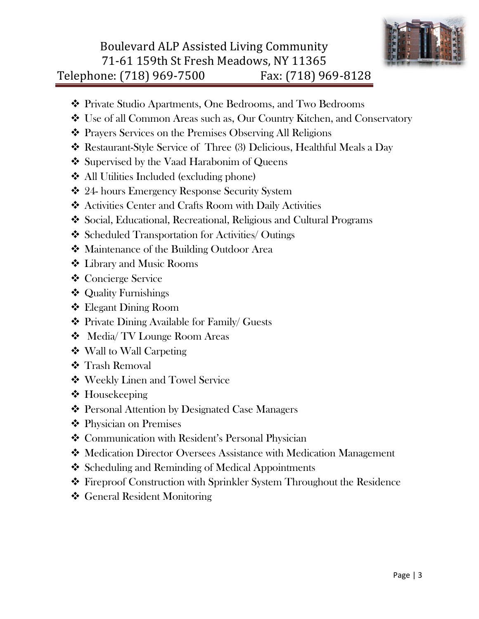

## Boulevard ALP Assisted Living Community 71-61 159th St Fresh Meadows, NY 11365 Telephone: (718) 969-7500 Fax: (718) 969-8128

- Private Studio Apartments, One Bedrooms, and Two Bedrooms
- Use of all Common Areas such as, Our Country Kitchen, and Conservatory
- Prayers Services on the Premises Observing All Religions
- Restaurant-Style Service of Three (3) Delicious, Healthful Meals a Day
- ❖ Supervised by the Vaad Harabonim of Queens
- All Utilities Included (excluding phone)
- 24- hours Emergency Response Security System
- Activities Center and Crafts Room with Daily Activities
- Social, Educational, Recreational, Religious and Cultural Programs
- Scheduled Transportation for Activities/ Outings
- Maintenance of the Building Outdoor Area
- Library and Music Rooms
- Concierge Service
- Quality Furnishings
- Elegant Dining Room
- Private Dining Available for Family/ Guests
- Media/ TV Lounge Room Areas
- Wall to Wall Carpeting
- **❖** Trash Removal
- Weekly Linen and Towel Service
- ❖ Housekeeping
- Personal Attention by Designated Case Managers
- Physician on Premises
- ❖ Communication with Resident's Personal Physician
- Medication Director Oversees Assistance with Medication Management
- ❖ Scheduling and Reminding of Medical Appointments
- Fireproof Construction with Sprinkler System Throughout the Residence
- General Resident Monitoring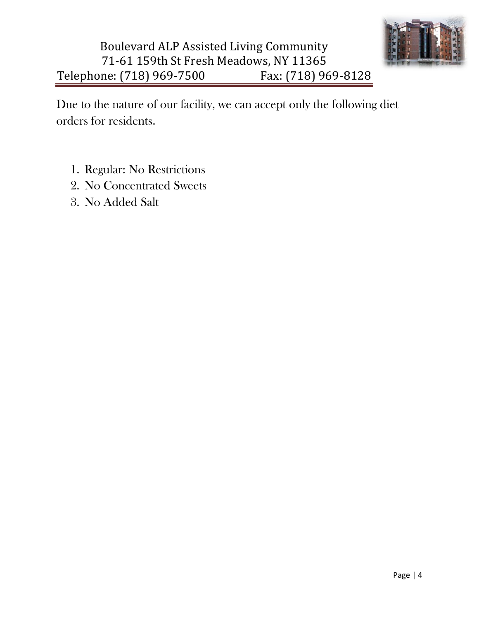

# Boulevard ALP Assisted Living Community 71-61 159th St Fresh Meadows, NY 11365 Telephone: (718) 969-7500 Fax: (718) 969-8128

Due to the nature of our facility, we can accept only the following diet orders for residents.

- 1. Regular: No Restrictions
- 2. No Concentrated Sweets
- 3. No Added Salt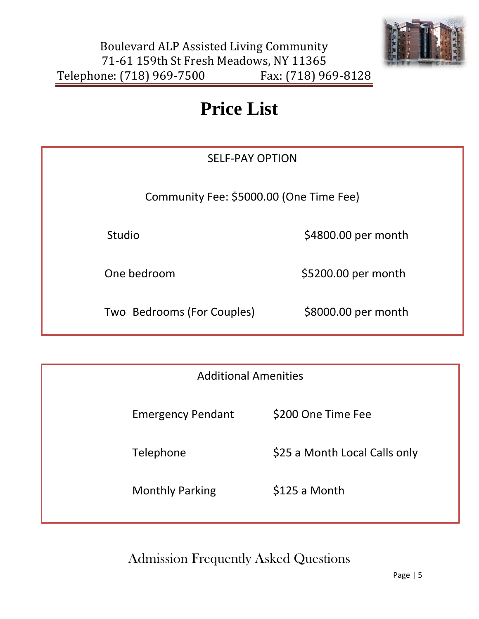

# **Price List**

# SELF-PAY OPTION

Community Fee: \$5000.00 (One Time Fee)

Studio  $$4800.00$  per month

One bedroom \$5200.00 per month

Two Bedrooms (For Couples) \$8000.00 per month

| <b>Additional Amenities</b> |                               |
|-----------------------------|-------------------------------|
| <b>Emergency Pendant</b>    | \$200 One Time Fee            |
| Telephone                   | \$25 a Month Local Calls only |
| <b>Monthly Parking</b>      | \$125 a Month                 |

Admission Frequently Asked Questions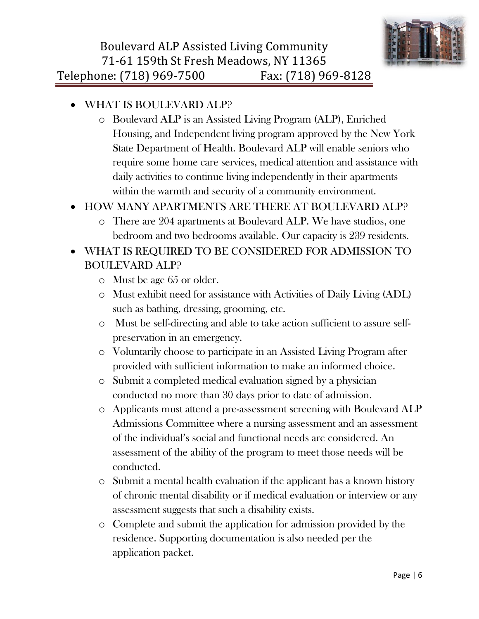

- WHAT IS BOULEVARD ALP?
	- o Boulevard ALP is an Assisted Living Program (ALP), Enriched Housing, and Independent living program approved by the New York State Department of Health. Boulevard ALP will enable seniors who require some home care services, medical attention and assistance with daily activities to continue living independently in their apartments within the warmth and security of a community environment.

### HOW MANY APARTMENTS ARE THERE AT BOULEVARD ALP?

o There are 204 apartments at Boulevard ALP. We have studios, one bedroom and two bedrooms available. Our capacity is 239 residents.

### WHAT IS REQUIRED TO BE CONSIDERED FOR ADMISSION TO BOULEVARD ALP?

- o Must be age 65 or older.
- o Must exhibit need for assistance with Activities of Daily Living (ADL) such as bathing, dressing, grooming, etc.
- o Must be self-directing and able to take action sufficient to assure selfpreservation in an emergency.
- o Voluntarily choose to participate in an Assisted Living Program after provided with sufficient information to make an informed choice.
- o Submit a completed medical evaluation signed by a physician conducted no more than 30 days prior to date of admission.
- o Applicants must attend a pre-assessment screening with Boulevard ALP Admissions Committee where a nursing assessment and an assessment of the individual's social and functional needs are considered. An assessment of the ability of the program to meet those needs will be conducted.
- o Submit a mental health evaluation if the applicant has a known history of chronic mental disability or if medical evaluation or interview or any assessment suggests that such a disability exists.
- o Complete and submit the application for admission provided by the residence. Supporting documentation is also needed per the application packet.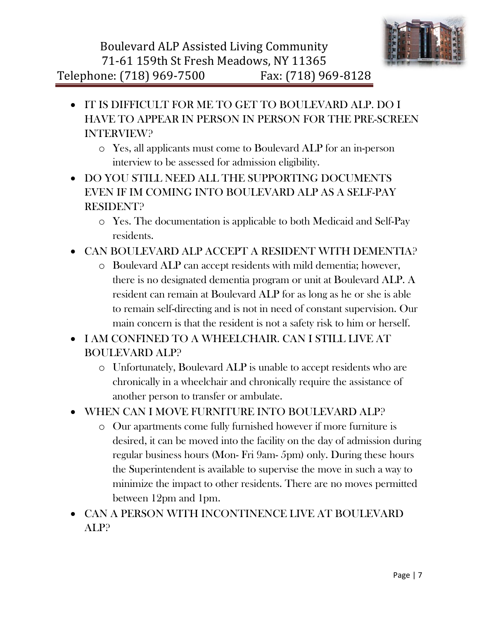

- IT IS DIFFICULT FOR ME TO GET TO BOULEVARD ALP. DO I HAVE TO APPEAR IN PERSON IN PERSON FOR THE PRE-SCREEN INTERVIEW?
	- o Yes, all applicants must come to Boulevard ALP for an in-person interview to be assessed for admission eligibility.
- DO YOU STILL NEED ALL THE SUPPORTING DOCUMENTS EVEN IF IM COMING INTO BOULEVARD ALP AS A SELF-PAY RESIDENT?
	- o Yes. The documentation is applicable to both Medicaid and Self-Pay residents.
- CAN BOULEVARD ALP ACCEPT A RESIDENT WITH DEMENTIA?
	- o Boulevard ALP can accept residents with mild dementia; however, there is no designated dementia program or unit at Boulevard ALP. A resident can remain at Boulevard ALP for as long as he or she is able to remain self-directing and is not in need of constant supervision. Our main concern is that the resident is not a safety risk to him or herself.
- I AM CONFINED TO A WHEELCHAIR. CAN I STILL LIVE AT BOULEVARD ALP?
	- o Unfortunately, Boulevard ALP is unable to accept residents who are chronically in a wheelchair and chronically require the assistance of another person to transfer or ambulate.
- WHEN CAN I MOVE FURNITURE INTO BOULEVARD ALP?
	- o Our apartments come fully furnished however if more furniture is desired, it can be moved into the facility on the day of admission during regular business hours (Mon- Fri 9am- 5pm) only. During these hours the Superintendent is available to supervise the move in such a way to minimize the impact to other residents. There are no moves permitted between 12pm and 1pm.
- CAN A PERSON WITH INCONTINENCE LIVE AT BOULEVARD ALP?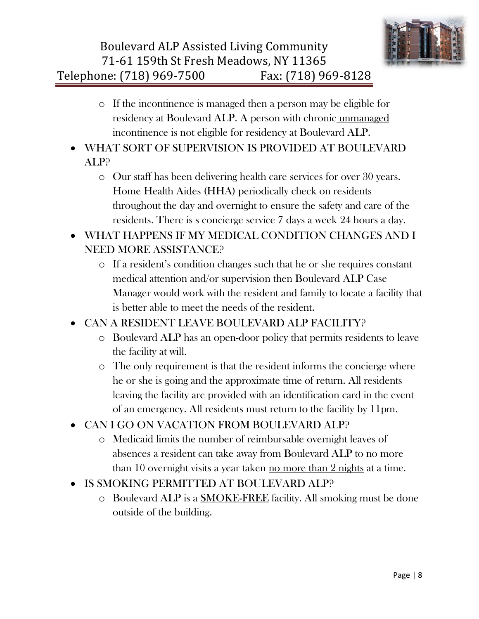- o If the incontinence is managed then a person may be eligible for residency at Boulevard ALP. A person with chronic unmanaged incontinence is not eligible for residency at Boulevard ALP.
- WHAT SORT OF SUPERVISION IS PROVIDED AT BOULEVARD ALP?
	- o Our staff has been delivering health care services for over 30 years. Home Health Aides (HHA) periodically check on residents throughout the day and overnight to ensure the safety and care of the residents. There is s concierge service 7 days a week 24 hours a day.
- WHAT HAPPENS IF MY MEDICAL CONDITION CHANGES AND I NEED MORE ASSISTANCE?
	- o If a resident's condition changes such that he or she requires constant medical attention and/or supervision then Boulevard ALP Case Manager would work with the resident and family to locate a facility that is better able to meet the needs of the resident.
- CAN A RESIDENT LEAVE BOULEVARD ALP FACILITY?
	- o Boulevard ALP has an open-door policy that permits residents to leave the facility at will.
	- o The only requirement is that the resident informs the concierge where he or she is going and the approximate time of return. All residents leaving the facility are provided with an identification card in the event of an emergency. All residents must return to the facility by 11pm.
- CAN I GO ON VACATION FROM BOULEVARD ALP?
	- o Medicaid limits the number of reimbursable overnight leaves of absences a resident can take away from Boulevard ALP to no more than 10 overnight visits a year taken no more than 2 nights at a time.
- IS SMOKING PERMITTED AT BOULEVARD ALP?
	- o Boulevard ALP is a SMOKE-FREE facility. All smoking must be done outside of the building.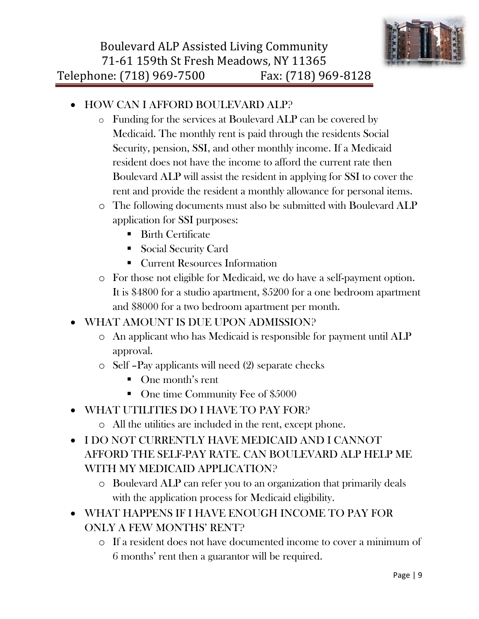

- HOW CAN I AFFORD BOULEVARD ALP?
	- o Funding for the services at Boulevard ALP can be covered by Medicaid. The monthly rent is paid through the residents Social Security, pension, SSI, and other monthly income. If a Medicaid resident does not have the income to afford the current rate then Boulevard ALP will assist the resident in applying for SSI to cover the rent and provide the resident a monthly allowance for personal items.
	- o The following documents must also be submitted with Boulevard ALP application for SSI purposes:
		- Birth Certificate
		- Social Security Card
		- **Current Resources Information**
	- o For those not eligible for Medicaid, we do have a self-payment option. It is \$4800 for a studio apartment, \$5200 for a one bedroom apartment and \$8000 for a two bedroom apartment per month.
- WHAT AMOUNT IS DUE UPON ADMISSION?
	- o An applicant who has Medicaid is responsible for payment until ALP approval.
	- o Self –Pay applicants will need (2) separate checks
		- One month's rent
		- One time Community Fee of \$5000
- WHAT UTILITIES DO I HAVE TO PAY FOR?
	- o All the utilities are included in the rent, except phone.
- I DO NOT CURRENTLY HAVE MEDICAID AND I CANNOT AFFORD THE SELF-PAY RATE. CAN BOULEVARD ALP HELP ME WITH MY MEDICAID APPLICATION?
	- o Boulevard ALP can refer you to an organization that primarily deals with the application process for Medicaid eligibility.
- WHAT HAPPENS IF I HAVE ENOUGH INCOME TO PAY FOR ONLY A FEW MONTHS' RENT?
	- o If a resident does not have documented income to cover a minimum of 6 months' rent then a guarantor will be required.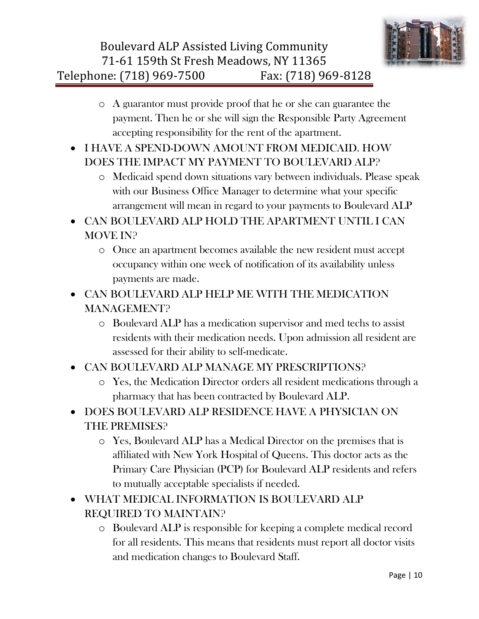- o A guarantor must provide proof that he or she can guarantee the payment. Then he or she will sign the Responsible Party Agreement accepting responsibility for the rent of the apartment.
- I HAVE A SPEND-DOWN AMOUNT FROM MEDICAID. HOW DOES THE IMPACT MY PAYMENT TO BOULEVARD ALP?
	- o Medicaid spend down situations vary between individuals. Please speak with our Business Office Manager to determine what your specific arrangement will mean in regard to your payments to Boulevard ALP
- CAN BOULEVARD ALP HOLD THE APARTMENT UNTIL I CAN MOVE IN?
	- o Once an apartment becomes available the new resident must accept occupancy within one week of notification of its availability unless payments are made.
- CAN BOULEVARD ALP HELP ME WITH THE MEDICATION MANAGEMENT?
	- o Boulevard ALP has a medication supervisor and med techs to assist residents with their medication needs. Upon admission all resident are assessed for their ability to self-medicate.
- CAN BOULEVARD ALP MANAGE MY PRESCRIPTIONS?
	- o Yes, the Medication Director orders all resident medications through a pharmacy that has been contracted by Boulevard ALP.
- DOES BOULEVARD ALP RESIDENCE HAVE A PHYSICIAN ON THE PREMISES?
	- o Yes, Boulevard ALP has a Medical Director on the premises that is affiliated with New York Hospital of Queens. This doctor acts as the Primary Care Physician (PCP) for Boulevard ALP residents and refers to mutually acceptable specialists if needed.
- WHAT MEDICAL INFORMATION IS BOULEVARD ALP REQUIRED TO MAINTAIN?
	- o Boulevard ALP is responsible for keeping a complete medical record for all residents. This means that residents must report all doctor visits and medication changes to Boulevard Staff.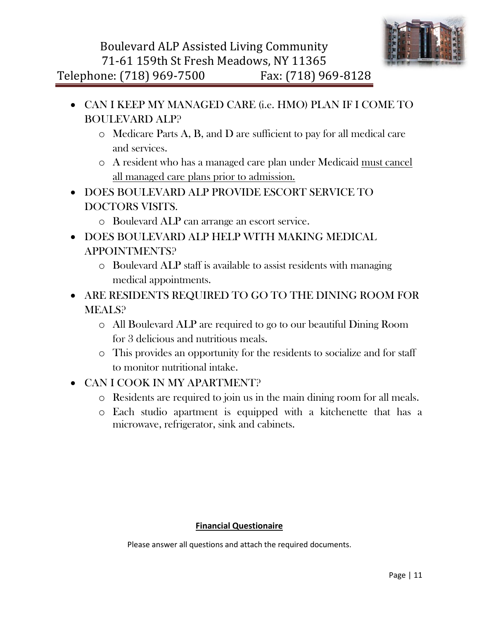

- CAN I KEEP MY MANAGED CARE (i.e. HMO) PLAN IF I COME TO BOULEVARD ALP?
	- o Medicare Parts A, B, and D are sufficient to pay for all medical care and services.
	- o A resident who has a managed care plan under Medicaid must cancel all managed care plans prior to admission.
- DOES BOULEVARD ALP PROVIDE ESCORT SERVICE TO DOCTORS VISITS.
	- o Boulevard ALP can arrange an escort service.
- DOES BOULEVARD ALP HELP WITH MAKING MEDICAL APPOINTMENTS?
	- o Boulevard ALP staff is available to assist residents with managing medical appointments.
- ARE RESIDENTS REQUIRED TO GO TO THE DINING ROOM FOR MEALS?
	- o All Boulevard ALP are required to go to our beautiful Dining Room for 3 delicious and nutritious meals.
	- o This provides an opportunity for the residents to socialize and for staff to monitor nutritional intake.
- CAN I COOK IN MY APARTMENT?
	- o Residents are required to join us in the main dining room for all meals.
	- o Each studio apartment is equipped with a kitchenette that has a microwave, refrigerator, sink and cabinets.

#### **Financial Questionaire**

Please answer all questions and attach the required documents.